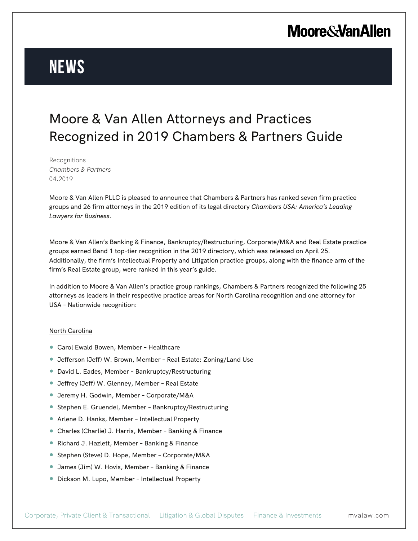# **Moore & Van Allen**

# **News**

### Moore & Van Allen Attorneys and Practices Recognized in 2019 Chambers & Partners Guide

Recognitions *Chambers & Partners* 04.2019

Moore & Van Allen PLLC is pleased to announce that Chambers & Partners has ranked seven firm practice groups and 26 firm attorneys in the 2019 edition of its legal directory *Chambers USA: America's Leading Lawyers for Business*.

Moore & Van Allen's Banking & Finance, Bankruptcy/Restructuring, Corporate/M&A and Real Estate practice groups earned Band 1 top-tier recognition in the 2019 directory, which was released on April 25. Additionally, the firm's Intellectual Property and Litigation practice groups, along with the finance arm of the firm's Real Estate group, were ranked in this year's guide.

In addition to Moore & Van Allen's practice group rankings, Chambers & Partners recognized the following 25 attorneys as leaders in their respective practice areas for North Carolina recognition and one attorney for USA – Nationwide recognition:

#### North Carolina

- Carol Ewald Bowen, Member Healthcare
- Jefferson (Jeff) W. Brown, Member Real Estate: Zoning/Land Use
- David L. Eades, Member Bankruptcy/Restructuring
- Jeffrey (Jeff) W. Glenney, Member Real Estate
- Jeremy H. Godwin, Member Corporate/M&A
- Stephen E. Gruendel, Member Bankruptcy/Restructuring
- Arlene D. Hanks, Member Intellectual Property
- Charles (Charlie) J. Harris, Member Banking & Finance
- Richard J. Hazlett, Member Banking & Finance
- Stephen (Steve) D. Hope, Member Corporate/M&A
- James (Jim) W. Hovis, Member Banking & Finance
- Dickson M. Lupo, Member Intellectual Property